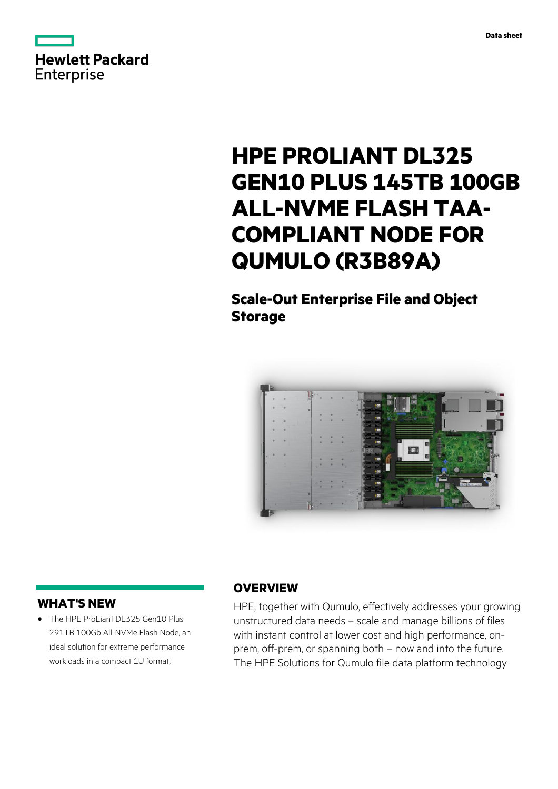

# **HPE PROLIANT DL325 GEN10 PLUS 145TB 100GB ALL-NVME FLASH TAA-COMPLIANT NODE FOR QUMULO (R3B89A)**

# **Scale-Out Enterprise File and Object Storage**



### **WHAT'S NEW**

**·** The HPE ProLiant DL325 Gen10 Plus 291TB 100Gb All-NVMe Flash Node, an ideal solution for extreme performance workloads in a compact 1U format,

### **OVERVIEW**

HPE, together with Qumulo, effectively addresses your growing unstructured data needs – scale and manage billions of files with instant control at lower cost and high performance, onprem, off-prem, or spanning both – now and into the future. The HPE Solutions for Qumulo file data platform technology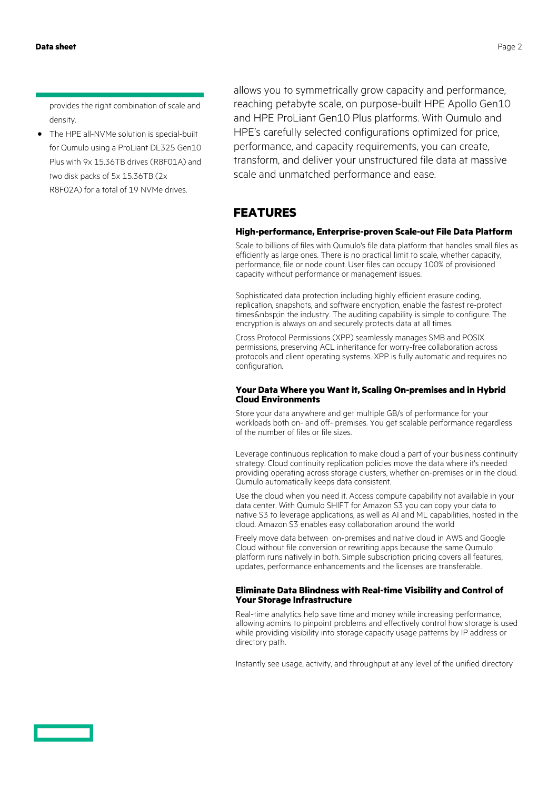provides the right combination of scale and density.

**·** The HPE all-NVMe solution is special-built for Qumulo using a ProLiant DL325 Gen10 Plus with 9x 15.36TB drives (R8F01A) and two disk packs of 5x 15.36TB (2x R8F02A) for a total of 19 NVMe drives.

allows you to symmetrically grow capacity and performance, reaching petabyte scale, on purpose-built HPE Apollo Gen10 and HPE ProLiant Gen10 Plus platforms. With Qumulo and HPE's carefully selected configurations optimized for price, performance, and capacity requirements, you can create, transform, and deliver your unstructured file data at massive scale and unmatched performance and ease.

## **FEATURES**

#### **High-performance, Enterprise-proven Scale-out File Data Platform**

Scale to billions of files with Qumulo's file data platform that handles small files as efficiently as large ones. There is no practical limit to scale, whether capacity, performance, file or node count. User files can occupy 100% of provisioned capacity without performance or management issues.

Sophisticated data protection including highly efficient erasure coding, replication, snapshots, and software encryption, enable the fastest re-protect times & nbsp; in the industry. The auditing capability is simple to configure. The encryption is always on and securely protects data at all times.

Cross Protocol Permissions (XPP) seamlessly manages SMB and POSIX permissions, preserving ACL inheritance for worry-free collaboration across protocols and client operating systems. XPP is fully automatic and requires no configuration.

#### **Your Data Where you Want it, Scaling On-premises and in Hybrid Cloud Environments**

Store your data anywhere and get multiple GB/s of performance for your workloads both on- and off- premises. You get scalable performance regardless of the number of files or file sizes.

Leverage continuous replication to make cloud a part of your business continuity strategy. Cloud continuity replication policies move the data where it's needed providing operating across storage clusters, whether on-premises or in the cloud. Qumulo automatically keeps data consistent.

Use the cloud when you need it. Access compute capability not available in your data center. With Qumulo SHIFT for Amazon S3 you can copy your data to native S3 to leverage applications, as well as AI and ML capabilities, hosted in the cloud. Amazon S3 enables easy collaboration around the world

Freely move data between on-premises and native cloud in AWS and Google Cloud without file conversion or rewriting apps because the same Qumulo platform runs natively in both. Simple subscription pricing covers all features, updates, performance enhancements and the licenses are transferable.

#### **Eliminate Data Blindness with Real-time Visibility and Control of Your Storage Infrastructure**

Real-time analytics help save time and money while increasing performance, allowing admins to pinpoint problems and effectively control how storage is used while providing visibility into storage capacity usage patterns by IP address or directory path.

Instantly see usage, activity, and throughput at any level of the unified directory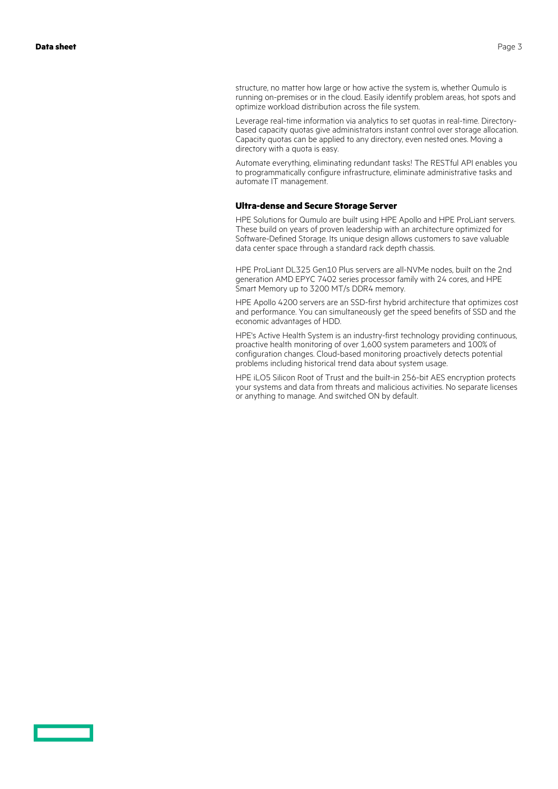structure, no matter how large or how active the system is, whether Qumulo is running on-premises or in the cloud. Easily identify problem areas, hot spots and optimize workload distribution across the file system.

Leverage real-time information via analytics to set quotas in real-time. Directorybased capacity quotas give administrators instant control over storage allocation. Capacity quotas can be applied to any directory, even nested ones. Moving a directory with a quota is easy.

Automate everything, eliminating redundant tasks! The RESTful API enables you to programmatically configure infrastructure, eliminate administrative tasks and automate IT management.

#### **Ultra-dense and Secure Storage Server**

HPE Solutions for Qumulo are built using HPE Apollo and HPE ProLiant servers. These build on years of proven leadership with an architecture optimized for Software-Defined Storage. Its unique design allows customers to save valuable data center space through a standard rack depth chassis.

HPE ProLiant DL325 Gen10 Plus servers are all-NVMe nodes, built on the 2nd generation AMD EPYC 7402 series processor family with 24 cores, and HPE Smart Memory up to 3200 MT/s DDR4 memory.

HPE Apollo 4200 servers are an SSD-first hybrid architecture that optimizes cost and performance. You can simultaneously get the speed benefits of SSD and the economic advantages of HDD.

HPE's Active Health System is an industry-first technology providing continuous, proactive health monitoring of over 1,600 system parameters and 100% of configuration changes. Cloud-based monitoring proactively detects potential problems including historical trend data about system usage.

HPE iLO5 Silicon Root of Trust and the built-in 256-bit AES encryption protects your systems and data from threats and malicious activities. No separate licenses or anything to manage. And switched ON by default.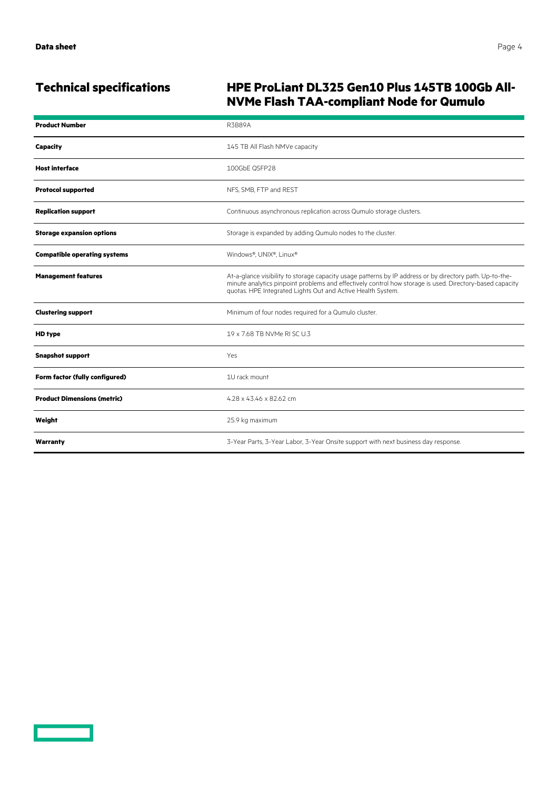# **Technical specifications HPE ProLiant DL325 Gen10 Plus 145TB 100Gb All-NVMe Flash TAA-compliant Node for Qumulo**

| <b>Product Number</b>               | <b>R3B89A</b>                                                                                                                                                                                                                                                                       |
|-------------------------------------|-------------------------------------------------------------------------------------------------------------------------------------------------------------------------------------------------------------------------------------------------------------------------------------|
| <b>Capacity</b>                     | 145 TB All Flash NMVe capacity                                                                                                                                                                                                                                                      |
| <b>Host interface</b>               | 100GbE QSFP28                                                                                                                                                                                                                                                                       |
| <b>Protocol supported</b>           | NFS, SMB, FTP and REST                                                                                                                                                                                                                                                              |
| <b>Replication support</b>          | Continuous asynchronous replication across Qumulo storage clusters.                                                                                                                                                                                                                 |
| <b>Storage expansion options</b>    | Storage is expanded by adding Qumulo nodes to the cluster.                                                                                                                                                                                                                          |
| <b>Compatible operating systems</b> | Windows®, UNIX®, Linux®                                                                                                                                                                                                                                                             |
| <b>Management features</b>          | At-a-glance visibility to storage capacity usage patterns by IP address or by directory path. Up-to-the-<br>minute analytics pinpoint problems and effectively control how storage is used. Directory-based capacity<br>quotas. HPE Integrated Lights Out and Active Health System. |
| <b>Clustering support</b>           | Minimum of four nodes required for a Qumulo cluster.                                                                                                                                                                                                                                |
| <b>HD</b> type                      | 19 x 7.68 TB NVMe RLSC U.3                                                                                                                                                                                                                                                          |
| <b>Snapshot support</b>             | Yes                                                                                                                                                                                                                                                                                 |
| Form factor (fully configured)      | 1U rack mount                                                                                                                                                                                                                                                                       |
| <b>Product Dimensions (metric)</b>  | 4.28 x 43.46 x 82.62 cm                                                                                                                                                                                                                                                             |
| Weight                              | 25.9 kg maximum                                                                                                                                                                                                                                                                     |
| Warranty                            | 3-Year Parts, 3-Year Labor, 3-Year Onsite support with next business day response.                                                                                                                                                                                                  |